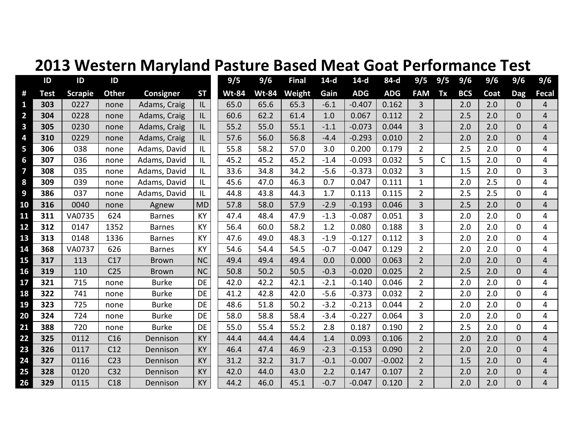## **2013 Western Maryland Pasture Based Meat Goat Performance Test**

|                | ID          | ID             | ID              |               |           | 9/5          | 9/6          | <b>Final</b> | $14-d$ | $14-d$     | 84-d       | 9/5            | 9/5 | 9/6        | 9/6  | 9/6            | 9/6            |
|----------------|-------------|----------------|-----------------|---------------|-----------|--------------|--------------|--------------|--------|------------|------------|----------------|-----|------------|------|----------------|----------------|
| #              | <b>Test</b> | <b>Scrapie</b> | <b>Other</b>    | Consigner     | <b>ST</b> | <b>Wt-84</b> | <b>Wt-84</b> | Weight       | Gain   | <b>ADG</b> | <b>ADG</b> | <b>FAM</b>     | Tx  | <b>BCS</b> | Coat | <b>Dag</b>     | <b>Fecal</b>   |
| 1              | 303         | 0227           | none            | Adams, Craig  | IL        | 65.0         | 65.6         | 65.3         | $-6.1$ | $-0.407$   | 0.162      | 3              |     | 2.0        | 2.0  | $\mathbf{0}$   | 4              |
| $\overline{2}$ | 304         | 0228           | none            | Adams, Craig  | IL        | 60.6         | 62.2         | 61.4         | 1.0    | 0.067      | 0.112      | $\overline{2}$ |     | 2.5        | 2.0  | $\Omega$       | $\overline{4}$ |
| 3              | 305         | 0230           | none            | Adams, Craig  | IL        | 55.2         | 55.0         | 55.1         | $-1.1$ | $-0.073$   | 0.044      | $\overline{3}$ |     | 2.0        | 2.0  | $\overline{0}$ | $\overline{4}$ |
| 4              | 310         | 0229           | none            | Adams, Craig  | IL        | 57.6         | 56.0         | 56.8         | $-4.4$ | $-0.293$   | 0.010      | $\overline{2}$ |     | 2.0        | 2.0  | $\overline{0}$ | $\overline{4}$ |
| 5              | 306         | 038            | none            | Adams, David  | L         | 55.8         | 58.2         | 57.0         | 3.0    | 0.200      | 0.179      | $\overline{2}$ |     | 2.5        | 2.0  | $\Omega$       | 4              |
| 6              | 307         | 036            | none            | Adams, David  | IL        | 45.2         | 45.2         | 45.2         | $-1.4$ | $-0.093$   | 0.032      | 5              | C   | 1.5        | 2.0  | $\overline{0}$ | 4              |
| 7              | 308         | 035            | none            | Adams, David  | L         | 33.6         | 34.8         | 34.2         | $-5.6$ | $-0.373$   | 0.032      | 3              |     | 1.5        | 2.0  | $\mathbf 0$    | 3              |
| 8              | 309         | 039            | none            | Adams, David  | L         | 45.6         | 47.0         | 46.3         | 0.7    | 0.047      | 0.111      | $\mathbf{1}$   |     | 2.0        | 2.5  | $\mathbf 0$    | 4              |
| 9              | 386         | 037            | none            | Adams, David  | IL        | 44.8         | 43.8         | 44.3         | 1.7    | 0.113      | 0.115      | $\overline{2}$ |     | 2.5        | 2.5  | $\mathbf 0$    | 4              |
| 10             | 316         | 0040           | none            | Agnew         | <b>MD</b> | 57.8         | 58.0         | 57.9         | $-2.9$ | $-0.193$   | 0.046      | $\overline{3}$ |     | 2.5        | 2.0  | $\overline{0}$ | $\overline{4}$ |
| 11             | 311         | VA0735         | 624             | <b>Barnes</b> | KY        | 47.4         | 48.4         | 47.9         | $-1.3$ | $-0.087$   | 0.051      | 3              |     | 2.0        | 2.0  | $\mathbf 0$    | 4              |
| 12             | 312         | 0147           | 1352            | <b>Barnes</b> | KY        | 56.4         | 60.0         | 58.2         | 1.2    | 0.080      | 0.188      | 3              |     | 2.0        | 2.0  | $\overline{0}$ | 4              |
| 13             | 313         | 0148           | 1336            | <b>Barnes</b> | KY        | 47.6         | 49.0         | 48.3         | $-1.9$ | $-0.127$   | 0.112      | $\overline{3}$ |     | 2.0        | 2.0  | $\Omega$       | 4              |
| 14             | 368         | VA0737         | 626             | <b>Barnes</b> | KY        | 54.6         | 54.4         | 54.5         | $-0.7$ | $-0.047$   | 0.129      | $\overline{2}$ |     | 2.0        | 2.0  | $\mathbf 0$    | 4              |
| 15             | 317         | 113            | C17             | <b>Brown</b>  | <b>NC</b> | 49.4         | 49.4         | 49.4         | 0.0    | 0.000      | 0.063      | $\overline{2}$ |     | 2.0        | 2.0  | $\overline{0}$ | $\overline{4}$ |
| 16             | 319         | 110            | C <sub>25</sub> | <b>Brown</b>  | <b>NC</b> | 50.8         | 50.2         | 50.5         | $-0.3$ | $-0.020$   | 0.025      | $\overline{2}$ |     | 2.5        | 2.0  | $\overline{0}$ | $\overline{4}$ |
| 17             | 321         | 715            | none            | <b>Burke</b>  | DE        | 42.0         | 42.2         | 42.1         | $-2.1$ | $-0.140$   | 0.046      | $\overline{2}$ |     | 2.0        | 2.0  | $\overline{0}$ | 4              |
| 18             | 322         | 741            | none            | <b>Burke</b>  | <b>DE</b> | 41.2         | 42.8         | 42.0         | $-5.6$ | $-0.373$   | 0.032      | $\overline{2}$ |     | 2.0        | 2.0  | $\mathbf 0$    | 4              |
| 19             | 323         | 725            | none            | <b>Burke</b>  | <b>DE</b> | 48.6         | 51.8         | 50.2         | $-3.2$ | $-0.213$   | 0.044      | $\overline{2}$ |     | 2.0        | 2.0  | $\mathbf 0$    | 4              |
| 20             | 324         | 724            | none            | <b>Burke</b>  | DE        | 58.0         | 58.8         | 58.4         | $-3.4$ | $-0.227$   | 0.064      | 3              |     | 2.0        | 2.0  | 0              | 4              |
| 21             | 388         | 720            | none            | <b>Burke</b>  | <b>DE</b> | 55.0         | 55.4         | 55.2         | 2.8    | 0.187      | 0.190      | $\overline{2}$ |     | 2.5        | 2.0  | $\mathbf 0$    | 4              |
| 22             | 325         | 0112           | C16             | Dennison      | <b>KY</b> | 44.4         | 44.4         | 44.4         | 1.4    | 0.093      | 0.106      | $2^{\circ}$    |     | 2.0        | 2.0  | $\overline{0}$ | $\overline{4}$ |
| 23             | 326         | 0117           | C12             | Dennison      | KY        | 46.4         | 47.4         | 46.9         | $-2.3$ | $-0.153$   | 0.090      | $\overline{2}$ |     | 2.0        | 2.0  | $\overline{0}$ | $\overline{4}$ |
| 24             | 327         | 0116           | C <sub>23</sub> | Dennison      | KY        | 31.2         | 32.2         | 31.7         | $-0.1$ | $-0.007$   | $-0.002$   | $\overline{2}$ |     | 1.5        | 2.0  | $\overline{0}$ | $\overline{4}$ |
| 25             | 328         | 0120           | C <sub>32</sub> | Dennison      | <b>KY</b> | 42.0         | 44.0         | 43.0         | 2.2    | 0.147      | 0.107      | $\overline{2}$ |     | 2.0        | 2.0  | $\mathbf 0$    | $\overline{4}$ |
| 26             | 329         | 0115           | C18             | Dennison      | KY        | 44.2         | 46.0         | 45.1         | $-0.7$ | $-0.047$   | 0.120      | $\overline{2}$ |     | 2.0        | 2.0  | $\mathbf 0$    | 4              |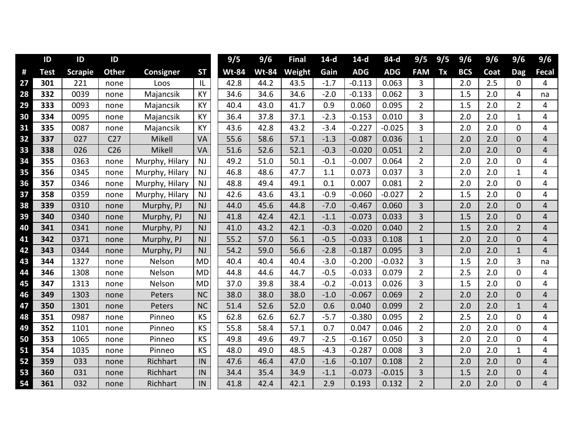|    | ID          | ID             | ID              |                |           | 9/5          | 9/6          | <b>Final</b> | $14-d$ | $14-d$     | 84-d       | 9/5            | 9/5 | 9/6        | 9/6  | 9/6            | 9/6            |
|----|-------------|----------------|-----------------|----------------|-----------|--------------|--------------|--------------|--------|------------|------------|----------------|-----|------------|------|----------------|----------------|
| #  | <b>Test</b> | <b>Scrapie</b> | <b>Other</b>    | Consigner      | <b>ST</b> | <b>Wt-84</b> | <b>Wt-84</b> | Weight       | Gain   | <b>ADG</b> | <b>ADG</b> | <b>FAM</b>     | Tx  | <b>BCS</b> | Coat | <b>Dag</b>     | <b>Fecal</b>   |
| 27 | 301         | 221            | none            | Loos           | L         | 42.8         | 44.2         | 43.5         | $-1.7$ | $-0.113$   | 0.063      | 3              |     | 2.0        | 2.5  | $\mathbf 0$    | 4              |
| 28 | 332         | 0039           | none            | Majancsik      | KY        | 34.6         | 34.6         | 34.6         | $-2.0$ | $-0.133$   | 0.062      | 3              |     | 1.5        | 2.0  | 4              | na             |
| 29 | 333         | 0093           | none            | Majancsik      | KY        | 40.4         | 43.0         | 41.7         | 0.9    | 0.060      | 0.095      | $\overline{2}$ |     | 1.5        | 2.0  | $\overline{2}$ | 4              |
| 30 | 334         | 0095           | none            | Majancsik      | KY        | 36.4         | 37.8         | 37.1         | $-2.3$ | $-0.153$   | 0.010      | 3              |     | 2.0        | 2.0  | $\mathbf{1}$   | 4              |
| 31 | 335         | 0087           | none            | Majancsik      | KY        | 43.6         | 42.8         | 43.2         | $-3.4$ | $-0.227$   | $-0.025$   | 3              |     | 2.0        | 2.0  | $\mathbf 0$    | 4              |
| 32 | 337         | 027            | C <sub>27</sub> | Mikell         | VA        | 55.6         | 58.6         | 57.1         | $-1.3$ | $-0.087$   | 0.036      | $\mathbf{1}$   |     | 2.0        | 2.0  | $\Omega$       | 4              |
| 33 | 338         | 026            | C <sub>26</sub> | Mikell         | VA        | 51.6         | 52.6         | 52.1         | $-0.3$ | $-0.020$   | 0.051      | $\overline{2}$ |     | 2.0        | 2.0  | $\overline{0}$ | $\overline{4}$ |
| 34 | 355         | 0363           | none            | Murphy, Hilary | <b>NJ</b> | 49.2         | 51.0         | 50.1         | $-0.1$ | $-0.007$   | 0.064      | $\overline{2}$ |     | 2.0        | 2.0  | 0              | 4              |
| 35 | 356         | 0345           | none            | Murphy, Hilary | <b>NJ</b> | 46.8         | 48.6         | 47.7         | 1.1    | 0.073      | 0.037      | 3              |     | 2.0        | 2.0  | $\mathbf{1}$   | 4              |
| 36 | 357         | 0346           | none            | Murphy, Hilary | <b>NJ</b> | 48.8         | 49.4         | 49.1         | 0.1    | 0.007      | 0.081      | $\overline{2}$ |     | 2.0        | 2.0  | $\overline{0}$ | 4              |
| 37 | 358         | 0359           | none            | Murphy, Hilary | <b>NJ</b> | 42.6         | 43.6         | 43.1         | $-0.9$ | $-0.060$   | $-0.027$   | $\overline{2}$ |     | 1.5        | 2.0  | $\Omega$       | 4              |
| 38 | 339         | 0310           | none            | Murphy, PJ     | <b>NJ</b> | 44.0         | 45.6         | 44.8         | $-7.0$ | $-0.467$   | 0.060      | $\overline{3}$ |     | 2.0        | 2.0  | $\overline{0}$ | $\overline{4}$ |
| 39 | 340         | 0340           | none            | Murphy, PJ     | <b>NJ</b> | 41.8         | 42.4         | 42.1         | $-1.1$ | $-0.073$   | 0.033      | 3              |     | 1.5        | 2.0  | $\overline{0}$ | $\overline{4}$ |
| 40 | 341         | 0341           | none            | Murphy, PJ     | <b>NJ</b> | 41.0         | 43.2         | 42.1         | $-0.3$ | $-0.020$   | 0.040      | $\overline{2}$ |     | 1.5        | 2.0  | $\overline{2}$ | $\overline{4}$ |
| 41 | 342         | 0371           | none            | Murphy, PJ     | <b>NJ</b> | 55.2         | 57.0         | 56.1         | $-0.5$ | $-0.033$   | 0.108      | $\mathbf{1}$   |     | 2.0        | 2.0  | $\overline{0}$ | 4              |
| 42 | 343         | 0344           | none            | Murphy, PJ     | <b>NJ</b> | 54.2         | 59.0         | 56.6         | $-2.8$ | $-0.187$   | 0.095      | 3              |     | 2.0        | 2.0  | $\mathbf{1}$   | $\overline{4}$ |
| 43 | 344         | 1327           | none            | Nelson         | <b>MD</b> | 40.4         | 40.4         | 40.4         | $-3.0$ | $-0.200$   | $-0.032$   | 3              |     | 1.5        | 2.0  | 3              | na             |
| 44 | 346         | 1308           | none            | Nelson         | <b>MD</b> | 44.8         | 44.6         | 44.7         | $-0.5$ | $-0.033$   | 0.079      | $\overline{2}$ |     | 2.5        | 2.0  | $\mathbf{0}$   | 4              |
| 45 | 347         | 1313           | none            | Nelson         | <b>MD</b> | 37.0         | 39.8         | 38.4         | $-0.2$ | $-0.013$   | 0.026      | 3              |     | 1.5        | 2.0  | $\Omega$       | 4              |
| 46 | 349         | 1303           | none            | Peters         | <b>NC</b> | 38.0         | 38.0         | 38.0         | $-1.0$ | $-0.067$   | 0.069      | $\overline{2}$ |     | 2.0        | 2.0  | $\overline{0}$ | $\overline{4}$ |
| 47 | 350         | 1301           | none            | Peters         | <b>NC</b> | 51.4         | 52.6         | 52.0         | 0.6    | 0.040      | 0.099      | $\overline{2}$ |     | 2.0        | 2.0  | $\mathbf{1}$   | $\overline{4}$ |
| 48 | 351         | 0987           | none            | Pinneo         | KS        | 62.8         | 62.6         | 62.7         | $-5.7$ | $-0.380$   | 0.095      | $\overline{2}$ |     | 2.5        | 2.0  | 0              | 4              |
| 49 | 352         | 1101           | none            | Pinneo         | KS        | 55.8         | 58.4         | 57.1         | 0.7    | 0.047      | 0.046      | $\overline{2}$ |     | 2.0        | 2.0  | 0              | 4              |
| 50 | 353         | 1065           | none            | Pinneo         | KS        | 49.8         | 49.6         | 49.7         | $-2.5$ | $-0.167$   | 0.050      | 3              |     | 2.0        | 2.0  | $\Omega$       | 4              |
| 51 | 354         | 1035           | none            | Pinneo         | KS        | 48.0         | 49.0         | 48.5         | $-4.3$ | $-0.287$   | 0.008      | 3              |     | 2.0        | 2.0  | $\mathbf{1}$   | 4              |
| 52 | 359         | 033            | none            | Richhart       | IN        | 47.6         | 46.4         | 47.0         | $-1.6$ | $-0.107$   | 0.108      | $\overline{2}$ |     | 2.0        | 2.0  | $\overline{0}$ | $\overline{4}$ |
| 53 | 360         | 031            | none            | Richhart       | IN        | 34.4         | 35.4         | 34.9         | $-1.1$ | $-0.073$   | $-0.015$   | 3              |     | 1.5        | 2.0  | $\mathbf 0$    | $\overline{4}$ |
| 54 | 361         | 032            | none            | Richhart       | IN        | 41.8         | 42.4         | 42.1         | 2.9    | 0.193      | 0.132      | $\overline{2}$ |     | 2.0        | 2.0  | $\mathbf 0$    | $\overline{4}$ |